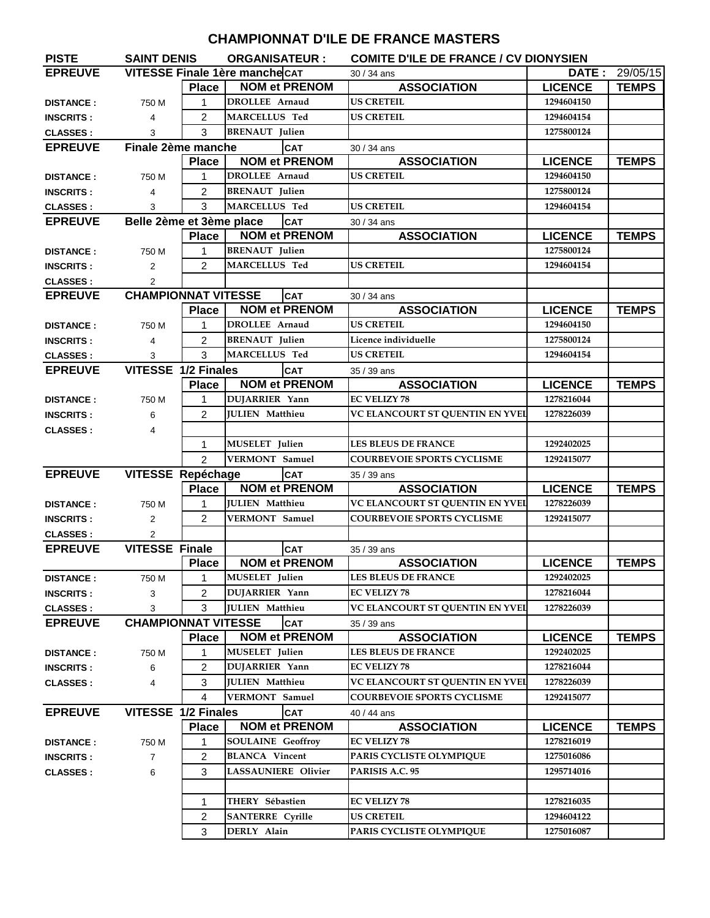## **CHAMPIONNAT D'ILE DE FRANCE MASTERS**

| VITESSE Finale 1ère manche CAT<br>DATE:<br>29/05/15<br>30 / 34 ans<br><b>NOM et PRENOM</b><br><b>ASSOCIATION</b><br><b>Place</b><br><b>LICENCE</b><br><b>TEMPS</b><br><b>US CRETEIL</b><br><b>DROLLEE Arnaud</b><br>$\mathbf{1}$<br>1294604150<br>750 M<br><b>DISTANCE:</b><br><b>MARCELLUS Ted</b><br>$\overline{2}$<br><b>US CRETEIL</b><br>1294604154<br>4<br>3<br><b>BRENAUT</b> Julien<br>1275800124<br>3<br>Finale 2ème manche<br><b>CAT</b><br>30 / 34 ans<br><b>NOM et PRENOM</b><br><b>ASSOCIATION</b><br><b>Place</b><br><b>LICENCE</b><br><b>TEMPS</b><br><b>DROLLEE</b> Arnaud<br><b>US CRETEIL</b><br>1294604150<br>$\mathbf{1}$<br>750 M<br><b>BRENAUT</b> Julien<br>$\overline{2}$<br>1275800124<br>4<br>3<br><b>MARCELLUS Ted</b><br><b>US CRETEIL</b><br>1294604154<br>3<br>Belle 2ème et 3ème place<br><b>CAT</b><br>30 / 34 ans<br><b>NOM et PRENOM</b><br><b>Place</b><br><b>ASSOCIATION</b><br><b>LICENCE</b><br><b>TEMPS</b><br><b>BRENAUT</b> Julien<br>1275800124<br>$\mathbf{1}$<br>750 M<br><b>DISTANCE:</b><br>MARCELLUS Ted<br><b>US CRETEIL</b><br>$\overline{2}$<br>1294604154<br>$\overline{2}$<br>$\overline{2}$<br><b>CHAMPIONNAT VITESSE</b><br><b>EPREUVE</b><br><b>CAT</b><br>30 / 34 ans<br><b>NOM et PRENOM</b><br><b>ASSOCIATION</b><br><b>LICENCE</b><br><b>Place</b><br><b>TEMPS</b><br><b>US CRETEIL</b><br><b>DROLLEE Arnaud</b><br>1294604150<br>1<br>750 M<br><b>DISTANCE:</b><br><b>BRENAUT</b> Julien<br>Licence individuelle<br>1275800124<br>$\overline{2}$<br>4<br>3<br>MARCELLUS Ted<br>3<br><b>US CRETEIL</b><br>1294604154<br>VITESSE 1/2 Finales<br><b>CAT</b><br>35 / 39 ans<br><b>NOM et PRENOM</b><br><b>ASSOCIATION</b><br><b>LICENCE</b><br><b>Place</b><br><b>TEMPS</b><br>DUJARRIER Yann<br><b>EC VELIZY 78</b><br>1278216044<br>750 M<br>1<br><b>DISTANCE:</b><br>VC ELANCOURT ST QUENTIN EN YVEL<br>$\overline{2}$<br><b>JULIEN Matthieu</b><br>1278226039<br>6<br>$\overline{4}$<br><b>CLASSES:</b><br>MUSELET Julien<br><b>LES BLEUS DE FRANCE</b><br>1292402025<br>$\mathbf{1}$<br><b>VERMONT</b> Samuel<br>$\overline{2}$<br><b>COURBEVOIE SPORTS CYCLISME</b><br>1292415077<br><b>VITESSE Repéchage</b><br><b>CAT</b><br>35 / 39 ans<br><b>NOM et PRENOM</b><br><b>ASSOCIATION</b><br><b>LICENCE</b><br><b>TEMPS</b><br><b>Place</b><br><b>JULIEN Matthieu</b><br>VC ELANCOURT ST QUENTIN EN YVEI<br>$\mathbf{1}$<br>1278226039<br>750 M<br>$\overline{2}$<br><b>VERMONT</b> Samuel<br><b>COURBEVOIE SPORTS CYCLISME</b><br>1292415077<br>2<br>$\overline{2}$<br><b>VITESSE Finale</b><br><b>CAT</b><br>35 / 39 ans<br><b>Place</b><br><b>NOM et PRENOM</b><br><b>ASSOCIATION</b><br><b>LICENCE</b><br><b>TEMPS</b><br>MUSELET Julien<br>LES BLEUS DE FRANCE<br>1292402025<br>1<br>750 M<br>$\overline{2}$<br><b>DUJARRIER Yann</b><br><b>EC VELIZY 78</b><br>1278216044<br>3<br><b>INSCRITS:</b><br>3<br><b>JULIEN</b> Matthieu<br>VC ELANCOURT ST QUENTIN EN YVEI<br>1278226039<br>3<br><b>CHAMPIONNAT VITESSE</b><br><b>EPREUVE</b><br><b>CAT</b><br>35 / 39 ans<br><b>Place</b><br><b>NOM et PRENOM</b><br><b>ASSOCIATION</b><br><b>LICENCE</b><br><b>TEMPS</b><br>1<br><b>MUSELET</b> Julien<br><b>LES BLEUS DE FRANCE</b><br>1292402025<br>750 M<br><b>DISTANCE:</b><br>2<br><b>DUJARRIER Yann</b><br><b>EC VELIZY 78</b><br>1278216044<br>6<br><b>JULIEN Matthieu</b><br>VC ELANCOURT ST QUENTIN EN YVEI<br>1278226039<br>3<br><b>CLASSES:</b><br>4<br><b>VERMONT</b> Samuel<br><b>COURBEVOIE SPORTS CYCLISME</b><br>4<br>1292415077<br>VITESSE 1/2 Finales<br><b>CAT</b><br>40 / 44 ans<br><b>NOM et PRENOM</b><br><b>ASSOCIATION</b><br><b>LICENCE</b><br><b>TEMPS</b><br><b>Place</b><br><b>EC VELIZY 78</b><br><b>SOULAINE Geoffroy</b><br>1278216019<br>$\mathbf{1}$<br>750 M<br><b>BLANCA</b> Vincent<br>$\overline{2}$<br>PARIS CYCLISTE OLYMPIQUE<br>1275016086<br>$\overline{7}$<br><b>INSCRITS:</b><br>6<br>3<br><b>LASSAUNIERE Olivier</b><br>PARISIS A.C. 95<br>1295714016<br>THERY Sébastien<br><b>EC VELIZY 78</b><br>1278216035<br>1<br><b>SANTERRE</b> Cyrille<br><b>US CRETEIL</b><br>$\overline{2}$<br>1294604122<br>DERLY Alain<br>3<br>PARIS CYCLISTE OLYMPIQUE<br>1275016087 | <b>PISTE</b>     | <b>SAINT DENIS</b> | <b>ORGANISATEUR:</b> |  |  | <b>COMITE D'ILE DE FRANCE / CV DIONYSIEN</b> |  |  |  |
|------------------------------------------------------------------------------------------------------------------------------------------------------------------------------------------------------------------------------------------------------------------------------------------------------------------------------------------------------------------------------------------------------------------------------------------------------------------------------------------------------------------------------------------------------------------------------------------------------------------------------------------------------------------------------------------------------------------------------------------------------------------------------------------------------------------------------------------------------------------------------------------------------------------------------------------------------------------------------------------------------------------------------------------------------------------------------------------------------------------------------------------------------------------------------------------------------------------------------------------------------------------------------------------------------------------------------------------------------------------------------------------------------------------------------------------------------------------------------------------------------------------------------------------------------------------------------------------------------------------------------------------------------------------------------------------------------------------------------------------------------------------------------------------------------------------------------------------------------------------------------------------------------------------------------------------------------------------------------------------------------------------------------------------------------------------------------------------------------------------------------------------------------------------------------------------------------------------------------------------------------------------------------------------------------------------------------------------------------------------------------------------------------------------------------------------------------------------------------------------------------------------------------------------------------------------------------------------------------------------------------------------------------------------------------------------------------------------------------------------------------------------------------------------------------------------------------------------------------------------------------------------------------------------------------------------------------------------------------------------------------------------------------------------------------------------------------------------------------------------------------------------------------------------------------------------------------------------------------------------------------------------------------------------------------------------------------------------------------------------------------------------------------------------------------------------------------------------------------------------------------------------------------------------------------------------------------------------------------------------------------------------------------------------------------------------------------------------------------------------------------------------------------------------------------------------------------------------------------------------------------------------------------------------------------------------------------------------------------------------------------------------------------------------------------------------------------------------------------------------------------------------------------------------------------|------------------|--------------------|----------------------|--|--|----------------------------------------------|--|--|--|
|                                                                                                                                                                                                                                                                                                                                                                                                                                                                                                                                                                                                                                                                                                                                                                                                                                                                                                                                                                                                                                                                                                                                                                                                                                                                                                                                                                                                                                                                                                                                                                                                                                                                                                                                                                                                                                                                                                                                                                                                                                                                                                                                                                                                                                                                                                                                                                                                                                                                                                                                                                                                                                                                                                                                                                                                                                                                                                                                                                                                                                                                                                                                                                                                                                                                                                                                                                                                                                                                                                                                                                                                                                                                                                                                                                                                                                                                                                                                                                                                                                                                                                                                                                              | <b>EPREUVE</b>   |                    |                      |  |  |                                              |  |  |  |
|                                                                                                                                                                                                                                                                                                                                                                                                                                                                                                                                                                                                                                                                                                                                                                                                                                                                                                                                                                                                                                                                                                                                                                                                                                                                                                                                                                                                                                                                                                                                                                                                                                                                                                                                                                                                                                                                                                                                                                                                                                                                                                                                                                                                                                                                                                                                                                                                                                                                                                                                                                                                                                                                                                                                                                                                                                                                                                                                                                                                                                                                                                                                                                                                                                                                                                                                                                                                                                                                                                                                                                                                                                                                                                                                                                                                                                                                                                                                                                                                                                                                                                                                                                              |                  |                    |                      |  |  |                                              |  |  |  |
|                                                                                                                                                                                                                                                                                                                                                                                                                                                                                                                                                                                                                                                                                                                                                                                                                                                                                                                                                                                                                                                                                                                                                                                                                                                                                                                                                                                                                                                                                                                                                                                                                                                                                                                                                                                                                                                                                                                                                                                                                                                                                                                                                                                                                                                                                                                                                                                                                                                                                                                                                                                                                                                                                                                                                                                                                                                                                                                                                                                                                                                                                                                                                                                                                                                                                                                                                                                                                                                                                                                                                                                                                                                                                                                                                                                                                                                                                                                                                                                                                                                                                                                                                                              |                  |                    |                      |  |  |                                              |  |  |  |
|                                                                                                                                                                                                                                                                                                                                                                                                                                                                                                                                                                                                                                                                                                                                                                                                                                                                                                                                                                                                                                                                                                                                                                                                                                                                                                                                                                                                                                                                                                                                                                                                                                                                                                                                                                                                                                                                                                                                                                                                                                                                                                                                                                                                                                                                                                                                                                                                                                                                                                                                                                                                                                                                                                                                                                                                                                                                                                                                                                                                                                                                                                                                                                                                                                                                                                                                                                                                                                                                                                                                                                                                                                                                                                                                                                                                                                                                                                                                                                                                                                                                                                                                                                              | <b>INSCRITS:</b> |                    |                      |  |  |                                              |  |  |  |
|                                                                                                                                                                                                                                                                                                                                                                                                                                                                                                                                                                                                                                                                                                                                                                                                                                                                                                                                                                                                                                                                                                                                                                                                                                                                                                                                                                                                                                                                                                                                                                                                                                                                                                                                                                                                                                                                                                                                                                                                                                                                                                                                                                                                                                                                                                                                                                                                                                                                                                                                                                                                                                                                                                                                                                                                                                                                                                                                                                                                                                                                                                                                                                                                                                                                                                                                                                                                                                                                                                                                                                                                                                                                                                                                                                                                                                                                                                                                                                                                                                                                                                                                                                              | <b>CLASSES:</b>  |                    |                      |  |  |                                              |  |  |  |
|                                                                                                                                                                                                                                                                                                                                                                                                                                                                                                                                                                                                                                                                                                                                                                                                                                                                                                                                                                                                                                                                                                                                                                                                                                                                                                                                                                                                                                                                                                                                                                                                                                                                                                                                                                                                                                                                                                                                                                                                                                                                                                                                                                                                                                                                                                                                                                                                                                                                                                                                                                                                                                                                                                                                                                                                                                                                                                                                                                                                                                                                                                                                                                                                                                                                                                                                                                                                                                                                                                                                                                                                                                                                                                                                                                                                                                                                                                                                                                                                                                                                                                                                                                              | <b>EPREUVE</b>   |                    |                      |  |  |                                              |  |  |  |
|                                                                                                                                                                                                                                                                                                                                                                                                                                                                                                                                                                                                                                                                                                                                                                                                                                                                                                                                                                                                                                                                                                                                                                                                                                                                                                                                                                                                                                                                                                                                                                                                                                                                                                                                                                                                                                                                                                                                                                                                                                                                                                                                                                                                                                                                                                                                                                                                                                                                                                                                                                                                                                                                                                                                                                                                                                                                                                                                                                                                                                                                                                                                                                                                                                                                                                                                                                                                                                                                                                                                                                                                                                                                                                                                                                                                                                                                                                                                                                                                                                                                                                                                                                              |                  |                    |                      |  |  |                                              |  |  |  |
|                                                                                                                                                                                                                                                                                                                                                                                                                                                                                                                                                                                                                                                                                                                                                                                                                                                                                                                                                                                                                                                                                                                                                                                                                                                                                                                                                                                                                                                                                                                                                                                                                                                                                                                                                                                                                                                                                                                                                                                                                                                                                                                                                                                                                                                                                                                                                                                                                                                                                                                                                                                                                                                                                                                                                                                                                                                                                                                                                                                                                                                                                                                                                                                                                                                                                                                                                                                                                                                                                                                                                                                                                                                                                                                                                                                                                                                                                                                                                                                                                                                                                                                                                                              | <b>DISTANCE:</b> |                    |                      |  |  |                                              |  |  |  |
|                                                                                                                                                                                                                                                                                                                                                                                                                                                                                                                                                                                                                                                                                                                                                                                                                                                                                                                                                                                                                                                                                                                                                                                                                                                                                                                                                                                                                                                                                                                                                                                                                                                                                                                                                                                                                                                                                                                                                                                                                                                                                                                                                                                                                                                                                                                                                                                                                                                                                                                                                                                                                                                                                                                                                                                                                                                                                                                                                                                                                                                                                                                                                                                                                                                                                                                                                                                                                                                                                                                                                                                                                                                                                                                                                                                                                                                                                                                                                                                                                                                                                                                                                                              | <b>INSCRITS:</b> |                    |                      |  |  |                                              |  |  |  |
|                                                                                                                                                                                                                                                                                                                                                                                                                                                                                                                                                                                                                                                                                                                                                                                                                                                                                                                                                                                                                                                                                                                                                                                                                                                                                                                                                                                                                                                                                                                                                                                                                                                                                                                                                                                                                                                                                                                                                                                                                                                                                                                                                                                                                                                                                                                                                                                                                                                                                                                                                                                                                                                                                                                                                                                                                                                                                                                                                                                                                                                                                                                                                                                                                                                                                                                                                                                                                                                                                                                                                                                                                                                                                                                                                                                                                                                                                                                                                                                                                                                                                                                                                                              | <b>CLASSES:</b>  |                    |                      |  |  |                                              |  |  |  |
|                                                                                                                                                                                                                                                                                                                                                                                                                                                                                                                                                                                                                                                                                                                                                                                                                                                                                                                                                                                                                                                                                                                                                                                                                                                                                                                                                                                                                                                                                                                                                                                                                                                                                                                                                                                                                                                                                                                                                                                                                                                                                                                                                                                                                                                                                                                                                                                                                                                                                                                                                                                                                                                                                                                                                                                                                                                                                                                                                                                                                                                                                                                                                                                                                                                                                                                                                                                                                                                                                                                                                                                                                                                                                                                                                                                                                                                                                                                                                                                                                                                                                                                                                                              | <b>EPREUVE</b>   |                    |                      |  |  |                                              |  |  |  |
|                                                                                                                                                                                                                                                                                                                                                                                                                                                                                                                                                                                                                                                                                                                                                                                                                                                                                                                                                                                                                                                                                                                                                                                                                                                                                                                                                                                                                                                                                                                                                                                                                                                                                                                                                                                                                                                                                                                                                                                                                                                                                                                                                                                                                                                                                                                                                                                                                                                                                                                                                                                                                                                                                                                                                                                                                                                                                                                                                                                                                                                                                                                                                                                                                                                                                                                                                                                                                                                                                                                                                                                                                                                                                                                                                                                                                                                                                                                                                                                                                                                                                                                                                                              |                  |                    |                      |  |  |                                              |  |  |  |
|                                                                                                                                                                                                                                                                                                                                                                                                                                                                                                                                                                                                                                                                                                                                                                                                                                                                                                                                                                                                                                                                                                                                                                                                                                                                                                                                                                                                                                                                                                                                                                                                                                                                                                                                                                                                                                                                                                                                                                                                                                                                                                                                                                                                                                                                                                                                                                                                                                                                                                                                                                                                                                                                                                                                                                                                                                                                                                                                                                                                                                                                                                                                                                                                                                                                                                                                                                                                                                                                                                                                                                                                                                                                                                                                                                                                                                                                                                                                                                                                                                                                                                                                                                              |                  |                    |                      |  |  |                                              |  |  |  |
|                                                                                                                                                                                                                                                                                                                                                                                                                                                                                                                                                                                                                                                                                                                                                                                                                                                                                                                                                                                                                                                                                                                                                                                                                                                                                                                                                                                                                                                                                                                                                                                                                                                                                                                                                                                                                                                                                                                                                                                                                                                                                                                                                                                                                                                                                                                                                                                                                                                                                                                                                                                                                                                                                                                                                                                                                                                                                                                                                                                                                                                                                                                                                                                                                                                                                                                                                                                                                                                                                                                                                                                                                                                                                                                                                                                                                                                                                                                                                                                                                                                                                                                                                                              | <b>INSCRITS:</b> |                    |                      |  |  |                                              |  |  |  |
|                                                                                                                                                                                                                                                                                                                                                                                                                                                                                                                                                                                                                                                                                                                                                                                                                                                                                                                                                                                                                                                                                                                                                                                                                                                                                                                                                                                                                                                                                                                                                                                                                                                                                                                                                                                                                                                                                                                                                                                                                                                                                                                                                                                                                                                                                                                                                                                                                                                                                                                                                                                                                                                                                                                                                                                                                                                                                                                                                                                                                                                                                                                                                                                                                                                                                                                                                                                                                                                                                                                                                                                                                                                                                                                                                                                                                                                                                                                                                                                                                                                                                                                                                                              | <b>CLASSES:</b>  |                    |                      |  |  |                                              |  |  |  |
|                                                                                                                                                                                                                                                                                                                                                                                                                                                                                                                                                                                                                                                                                                                                                                                                                                                                                                                                                                                                                                                                                                                                                                                                                                                                                                                                                                                                                                                                                                                                                                                                                                                                                                                                                                                                                                                                                                                                                                                                                                                                                                                                                                                                                                                                                                                                                                                                                                                                                                                                                                                                                                                                                                                                                                                                                                                                                                                                                                                                                                                                                                                                                                                                                                                                                                                                                                                                                                                                                                                                                                                                                                                                                                                                                                                                                                                                                                                                                                                                                                                                                                                                                                              |                  |                    |                      |  |  |                                              |  |  |  |
|                                                                                                                                                                                                                                                                                                                                                                                                                                                                                                                                                                                                                                                                                                                                                                                                                                                                                                                                                                                                                                                                                                                                                                                                                                                                                                                                                                                                                                                                                                                                                                                                                                                                                                                                                                                                                                                                                                                                                                                                                                                                                                                                                                                                                                                                                                                                                                                                                                                                                                                                                                                                                                                                                                                                                                                                                                                                                                                                                                                                                                                                                                                                                                                                                                                                                                                                                                                                                                                                                                                                                                                                                                                                                                                                                                                                                                                                                                                                                                                                                                                                                                                                                                              |                  |                    |                      |  |  |                                              |  |  |  |
|                                                                                                                                                                                                                                                                                                                                                                                                                                                                                                                                                                                                                                                                                                                                                                                                                                                                                                                                                                                                                                                                                                                                                                                                                                                                                                                                                                                                                                                                                                                                                                                                                                                                                                                                                                                                                                                                                                                                                                                                                                                                                                                                                                                                                                                                                                                                                                                                                                                                                                                                                                                                                                                                                                                                                                                                                                                                                                                                                                                                                                                                                                                                                                                                                                                                                                                                                                                                                                                                                                                                                                                                                                                                                                                                                                                                                                                                                                                                                                                                                                                                                                                                                                              |                  |                    |                      |  |  |                                              |  |  |  |
|                                                                                                                                                                                                                                                                                                                                                                                                                                                                                                                                                                                                                                                                                                                                                                                                                                                                                                                                                                                                                                                                                                                                                                                                                                                                                                                                                                                                                                                                                                                                                                                                                                                                                                                                                                                                                                                                                                                                                                                                                                                                                                                                                                                                                                                                                                                                                                                                                                                                                                                                                                                                                                                                                                                                                                                                                                                                                                                                                                                                                                                                                                                                                                                                                                                                                                                                                                                                                                                                                                                                                                                                                                                                                                                                                                                                                                                                                                                                                                                                                                                                                                                                                                              | <b>INSCRITS:</b> |                    |                      |  |  |                                              |  |  |  |
|                                                                                                                                                                                                                                                                                                                                                                                                                                                                                                                                                                                                                                                                                                                                                                                                                                                                                                                                                                                                                                                                                                                                                                                                                                                                                                                                                                                                                                                                                                                                                                                                                                                                                                                                                                                                                                                                                                                                                                                                                                                                                                                                                                                                                                                                                                                                                                                                                                                                                                                                                                                                                                                                                                                                                                                                                                                                                                                                                                                                                                                                                                                                                                                                                                                                                                                                                                                                                                                                                                                                                                                                                                                                                                                                                                                                                                                                                                                                                                                                                                                                                                                                                                              | <b>CLASSES:</b>  |                    |                      |  |  |                                              |  |  |  |
|                                                                                                                                                                                                                                                                                                                                                                                                                                                                                                                                                                                                                                                                                                                                                                                                                                                                                                                                                                                                                                                                                                                                                                                                                                                                                                                                                                                                                                                                                                                                                                                                                                                                                                                                                                                                                                                                                                                                                                                                                                                                                                                                                                                                                                                                                                                                                                                                                                                                                                                                                                                                                                                                                                                                                                                                                                                                                                                                                                                                                                                                                                                                                                                                                                                                                                                                                                                                                                                                                                                                                                                                                                                                                                                                                                                                                                                                                                                                                                                                                                                                                                                                                                              | <b>EPREUVE</b>   |                    |                      |  |  |                                              |  |  |  |
|                                                                                                                                                                                                                                                                                                                                                                                                                                                                                                                                                                                                                                                                                                                                                                                                                                                                                                                                                                                                                                                                                                                                                                                                                                                                                                                                                                                                                                                                                                                                                                                                                                                                                                                                                                                                                                                                                                                                                                                                                                                                                                                                                                                                                                                                                                                                                                                                                                                                                                                                                                                                                                                                                                                                                                                                                                                                                                                                                                                                                                                                                                                                                                                                                                                                                                                                                                                                                                                                                                                                                                                                                                                                                                                                                                                                                                                                                                                                                                                                                                                                                                                                                                              |                  |                    |                      |  |  |                                              |  |  |  |
|                                                                                                                                                                                                                                                                                                                                                                                                                                                                                                                                                                                                                                                                                                                                                                                                                                                                                                                                                                                                                                                                                                                                                                                                                                                                                                                                                                                                                                                                                                                                                                                                                                                                                                                                                                                                                                                                                                                                                                                                                                                                                                                                                                                                                                                                                                                                                                                                                                                                                                                                                                                                                                                                                                                                                                                                                                                                                                                                                                                                                                                                                                                                                                                                                                                                                                                                                                                                                                                                                                                                                                                                                                                                                                                                                                                                                                                                                                                                                                                                                                                                                                                                                                              |                  |                    |                      |  |  |                                              |  |  |  |
|                                                                                                                                                                                                                                                                                                                                                                                                                                                                                                                                                                                                                                                                                                                                                                                                                                                                                                                                                                                                                                                                                                                                                                                                                                                                                                                                                                                                                                                                                                                                                                                                                                                                                                                                                                                                                                                                                                                                                                                                                                                                                                                                                                                                                                                                                                                                                                                                                                                                                                                                                                                                                                                                                                                                                                                                                                                                                                                                                                                                                                                                                                                                                                                                                                                                                                                                                                                                                                                                                                                                                                                                                                                                                                                                                                                                                                                                                                                                                                                                                                                                                                                                                                              | <b>INSCRITS:</b> |                    |                      |  |  |                                              |  |  |  |
|                                                                                                                                                                                                                                                                                                                                                                                                                                                                                                                                                                                                                                                                                                                                                                                                                                                                                                                                                                                                                                                                                                                                                                                                                                                                                                                                                                                                                                                                                                                                                                                                                                                                                                                                                                                                                                                                                                                                                                                                                                                                                                                                                                                                                                                                                                                                                                                                                                                                                                                                                                                                                                                                                                                                                                                                                                                                                                                                                                                                                                                                                                                                                                                                                                                                                                                                                                                                                                                                                                                                                                                                                                                                                                                                                                                                                                                                                                                                                                                                                                                                                                                                                                              |                  |                    |                      |  |  |                                              |  |  |  |
|                                                                                                                                                                                                                                                                                                                                                                                                                                                                                                                                                                                                                                                                                                                                                                                                                                                                                                                                                                                                                                                                                                                                                                                                                                                                                                                                                                                                                                                                                                                                                                                                                                                                                                                                                                                                                                                                                                                                                                                                                                                                                                                                                                                                                                                                                                                                                                                                                                                                                                                                                                                                                                                                                                                                                                                                                                                                                                                                                                                                                                                                                                                                                                                                                                                                                                                                                                                                                                                                                                                                                                                                                                                                                                                                                                                                                                                                                                                                                                                                                                                                                                                                                                              |                  |                    |                      |  |  |                                              |  |  |  |
|                                                                                                                                                                                                                                                                                                                                                                                                                                                                                                                                                                                                                                                                                                                                                                                                                                                                                                                                                                                                                                                                                                                                                                                                                                                                                                                                                                                                                                                                                                                                                                                                                                                                                                                                                                                                                                                                                                                                                                                                                                                                                                                                                                                                                                                                                                                                                                                                                                                                                                                                                                                                                                                                                                                                                                                                                                                                                                                                                                                                                                                                                                                                                                                                                                                                                                                                                                                                                                                                                                                                                                                                                                                                                                                                                                                                                                                                                                                                                                                                                                                                                                                                                                              |                  |                    |                      |  |  |                                              |  |  |  |
|                                                                                                                                                                                                                                                                                                                                                                                                                                                                                                                                                                                                                                                                                                                                                                                                                                                                                                                                                                                                                                                                                                                                                                                                                                                                                                                                                                                                                                                                                                                                                                                                                                                                                                                                                                                                                                                                                                                                                                                                                                                                                                                                                                                                                                                                                                                                                                                                                                                                                                                                                                                                                                                                                                                                                                                                                                                                                                                                                                                                                                                                                                                                                                                                                                                                                                                                                                                                                                                                                                                                                                                                                                                                                                                                                                                                                                                                                                                                                                                                                                                                                                                                                                              | <b>EPREUVE</b>   |                    |                      |  |  |                                              |  |  |  |
|                                                                                                                                                                                                                                                                                                                                                                                                                                                                                                                                                                                                                                                                                                                                                                                                                                                                                                                                                                                                                                                                                                                                                                                                                                                                                                                                                                                                                                                                                                                                                                                                                                                                                                                                                                                                                                                                                                                                                                                                                                                                                                                                                                                                                                                                                                                                                                                                                                                                                                                                                                                                                                                                                                                                                                                                                                                                                                                                                                                                                                                                                                                                                                                                                                                                                                                                                                                                                                                                                                                                                                                                                                                                                                                                                                                                                                                                                                                                                                                                                                                                                                                                                                              |                  |                    |                      |  |  |                                              |  |  |  |
|                                                                                                                                                                                                                                                                                                                                                                                                                                                                                                                                                                                                                                                                                                                                                                                                                                                                                                                                                                                                                                                                                                                                                                                                                                                                                                                                                                                                                                                                                                                                                                                                                                                                                                                                                                                                                                                                                                                                                                                                                                                                                                                                                                                                                                                                                                                                                                                                                                                                                                                                                                                                                                                                                                                                                                                                                                                                                                                                                                                                                                                                                                                                                                                                                                                                                                                                                                                                                                                                                                                                                                                                                                                                                                                                                                                                                                                                                                                                                                                                                                                                                                                                                                              | <b>DISTANCE:</b> |                    |                      |  |  |                                              |  |  |  |
|                                                                                                                                                                                                                                                                                                                                                                                                                                                                                                                                                                                                                                                                                                                                                                                                                                                                                                                                                                                                                                                                                                                                                                                                                                                                                                                                                                                                                                                                                                                                                                                                                                                                                                                                                                                                                                                                                                                                                                                                                                                                                                                                                                                                                                                                                                                                                                                                                                                                                                                                                                                                                                                                                                                                                                                                                                                                                                                                                                                                                                                                                                                                                                                                                                                                                                                                                                                                                                                                                                                                                                                                                                                                                                                                                                                                                                                                                                                                                                                                                                                                                                                                                                              | <b>INSCRITS:</b> |                    |                      |  |  |                                              |  |  |  |
|                                                                                                                                                                                                                                                                                                                                                                                                                                                                                                                                                                                                                                                                                                                                                                                                                                                                                                                                                                                                                                                                                                                                                                                                                                                                                                                                                                                                                                                                                                                                                                                                                                                                                                                                                                                                                                                                                                                                                                                                                                                                                                                                                                                                                                                                                                                                                                                                                                                                                                                                                                                                                                                                                                                                                                                                                                                                                                                                                                                                                                                                                                                                                                                                                                                                                                                                                                                                                                                                                                                                                                                                                                                                                                                                                                                                                                                                                                                                                                                                                                                                                                                                                                              | <b>CLASSES:</b>  |                    |                      |  |  |                                              |  |  |  |
|                                                                                                                                                                                                                                                                                                                                                                                                                                                                                                                                                                                                                                                                                                                                                                                                                                                                                                                                                                                                                                                                                                                                                                                                                                                                                                                                                                                                                                                                                                                                                                                                                                                                                                                                                                                                                                                                                                                                                                                                                                                                                                                                                                                                                                                                                                                                                                                                                                                                                                                                                                                                                                                                                                                                                                                                                                                                                                                                                                                                                                                                                                                                                                                                                                                                                                                                                                                                                                                                                                                                                                                                                                                                                                                                                                                                                                                                                                                                                                                                                                                                                                                                                                              | <b>EPREUVE</b>   |                    |                      |  |  |                                              |  |  |  |
|                                                                                                                                                                                                                                                                                                                                                                                                                                                                                                                                                                                                                                                                                                                                                                                                                                                                                                                                                                                                                                                                                                                                                                                                                                                                                                                                                                                                                                                                                                                                                                                                                                                                                                                                                                                                                                                                                                                                                                                                                                                                                                                                                                                                                                                                                                                                                                                                                                                                                                                                                                                                                                                                                                                                                                                                                                                                                                                                                                                                                                                                                                                                                                                                                                                                                                                                                                                                                                                                                                                                                                                                                                                                                                                                                                                                                                                                                                                                                                                                                                                                                                                                                                              |                  |                    |                      |  |  |                                              |  |  |  |
|                                                                                                                                                                                                                                                                                                                                                                                                                                                                                                                                                                                                                                                                                                                                                                                                                                                                                                                                                                                                                                                                                                                                                                                                                                                                                                                                                                                                                                                                                                                                                                                                                                                                                                                                                                                                                                                                                                                                                                                                                                                                                                                                                                                                                                                                                                                                                                                                                                                                                                                                                                                                                                                                                                                                                                                                                                                                                                                                                                                                                                                                                                                                                                                                                                                                                                                                                                                                                                                                                                                                                                                                                                                                                                                                                                                                                                                                                                                                                                                                                                                                                                                                                                              | <b>DISTANCE:</b> |                    |                      |  |  |                                              |  |  |  |
|                                                                                                                                                                                                                                                                                                                                                                                                                                                                                                                                                                                                                                                                                                                                                                                                                                                                                                                                                                                                                                                                                                                                                                                                                                                                                                                                                                                                                                                                                                                                                                                                                                                                                                                                                                                                                                                                                                                                                                                                                                                                                                                                                                                                                                                                                                                                                                                                                                                                                                                                                                                                                                                                                                                                                                                                                                                                                                                                                                                                                                                                                                                                                                                                                                                                                                                                                                                                                                                                                                                                                                                                                                                                                                                                                                                                                                                                                                                                                                                                                                                                                                                                                                              |                  |                    |                      |  |  |                                              |  |  |  |
|                                                                                                                                                                                                                                                                                                                                                                                                                                                                                                                                                                                                                                                                                                                                                                                                                                                                                                                                                                                                                                                                                                                                                                                                                                                                                                                                                                                                                                                                                                                                                                                                                                                                                                                                                                                                                                                                                                                                                                                                                                                                                                                                                                                                                                                                                                                                                                                                                                                                                                                                                                                                                                                                                                                                                                                                                                                                                                                                                                                                                                                                                                                                                                                                                                                                                                                                                                                                                                                                                                                                                                                                                                                                                                                                                                                                                                                                                                                                                                                                                                                                                                                                                                              | <b>CLASSES:</b>  |                    |                      |  |  |                                              |  |  |  |
|                                                                                                                                                                                                                                                                                                                                                                                                                                                                                                                                                                                                                                                                                                                                                                                                                                                                                                                                                                                                                                                                                                                                                                                                                                                                                                                                                                                                                                                                                                                                                                                                                                                                                                                                                                                                                                                                                                                                                                                                                                                                                                                                                                                                                                                                                                                                                                                                                                                                                                                                                                                                                                                                                                                                                                                                                                                                                                                                                                                                                                                                                                                                                                                                                                                                                                                                                                                                                                                                                                                                                                                                                                                                                                                                                                                                                                                                                                                                                                                                                                                                                                                                                                              |                  |                    |                      |  |  |                                              |  |  |  |
|                                                                                                                                                                                                                                                                                                                                                                                                                                                                                                                                                                                                                                                                                                                                                                                                                                                                                                                                                                                                                                                                                                                                                                                                                                                                                                                                                                                                                                                                                                                                                                                                                                                                                                                                                                                                                                                                                                                                                                                                                                                                                                                                                                                                                                                                                                                                                                                                                                                                                                                                                                                                                                                                                                                                                                                                                                                                                                                                                                                                                                                                                                                                                                                                                                                                                                                                                                                                                                                                                                                                                                                                                                                                                                                                                                                                                                                                                                                                                                                                                                                                                                                                                                              |                  |                    |                      |  |  |                                              |  |  |  |
|                                                                                                                                                                                                                                                                                                                                                                                                                                                                                                                                                                                                                                                                                                                                                                                                                                                                                                                                                                                                                                                                                                                                                                                                                                                                                                                                                                                                                                                                                                                                                                                                                                                                                                                                                                                                                                                                                                                                                                                                                                                                                                                                                                                                                                                                                                                                                                                                                                                                                                                                                                                                                                                                                                                                                                                                                                                                                                                                                                                                                                                                                                                                                                                                                                                                                                                                                                                                                                                                                                                                                                                                                                                                                                                                                                                                                                                                                                                                                                                                                                                                                                                                                                              |                  |                    |                      |  |  |                                              |  |  |  |
|                                                                                                                                                                                                                                                                                                                                                                                                                                                                                                                                                                                                                                                                                                                                                                                                                                                                                                                                                                                                                                                                                                                                                                                                                                                                                                                                                                                                                                                                                                                                                                                                                                                                                                                                                                                                                                                                                                                                                                                                                                                                                                                                                                                                                                                                                                                                                                                                                                                                                                                                                                                                                                                                                                                                                                                                                                                                                                                                                                                                                                                                                                                                                                                                                                                                                                                                                                                                                                                                                                                                                                                                                                                                                                                                                                                                                                                                                                                                                                                                                                                                                                                                                                              | <b>INSCRITS:</b> |                    |                      |  |  |                                              |  |  |  |
|                                                                                                                                                                                                                                                                                                                                                                                                                                                                                                                                                                                                                                                                                                                                                                                                                                                                                                                                                                                                                                                                                                                                                                                                                                                                                                                                                                                                                                                                                                                                                                                                                                                                                                                                                                                                                                                                                                                                                                                                                                                                                                                                                                                                                                                                                                                                                                                                                                                                                                                                                                                                                                                                                                                                                                                                                                                                                                                                                                                                                                                                                                                                                                                                                                                                                                                                                                                                                                                                                                                                                                                                                                                                                                                                                                                                                                                                                                                                                                                                                                                                                                                                                                              |                  |                    |                      |  |  |                                              |  |  |  |
|                                                                                                                                                                                                                                                                                                                                                                                                                                                                                                                                                                                                                                                                                                                                                                                                                                                                                                                                                                                                                                                                                                                                                                                                                                                                                                                                                                                                                                                                                                                                                                                                                                                                                                                                                                                                                                                                                                                                                                                                                                                                                                                                                                                                                                                                                                                                                                                                                                                                                                                                                                                                                                                                                                                                                                                                                                                                                                                                                                                                                                                                                                                                                                                                                                                                                                                                                                                                                                                                                                                                                                                                                                                                                                                                                                                                                                                                                                                                                                                                                                                                                                                                                                              |                  |                    |                      |  |  |                                              |  |  |  |
|                                                                                                                                                                                                                                                                                                                                                                                                                                                                                                                                                                                                                                                                                                                                                                                                                                                                                                                                                                                                                                                                                                                                                                                                                                                                                                                                                                                                                                                                                                                                                                                                                                                                                                                                                                                                                                                                                                                                                                                                                                                                                                                                                                                                                                                                                                                                                                                                                                                                                                                                                                                                                                                                                                                                                                                                                                                                                                                                                                                                                                                                                                                                                                                                                                                                                                                                                                                                                                                                                                                                                                                                                                                                                                                                                                                                                                                                                                                                                                                                                                                                                                                                                                              | <b>EPREUVE</b>   |                    |                      |  |  |                                              |  |  |  |
|                                                                                                                                                                                                                                                                                                                                                                                                                                                                                                                                                                                                                                                                                                                                                                                                                                                                                                                                                                                                                                                                                                                                                                                                                                                                                                                                                                                                                                                                                                                                                                                                                                                                                                                                                                                                                                                                                                                                                                                                                                                                                                                                                                                                                                                                                                                                                                                                                                                                                                                                                                                                                                                                                                                                                                                                                                                                                                                                                                                                                                                                                                                                                                                                                                                                                                                                                                                                                                                                                                                                                                                                                                                                                                                                                                                                                                                                                                                                                                                                                                                                                                                                                                              |                  |                    |                      |  |  |                                              |  |  |  |
|                                                                                                                                                                                                                                                                                                                                                                                                                                                                                                                                                                                                                                                                                                                                                                                                                                                                                                                                                                                                                                                                                                                                                                                                                                                                                                                                                                                                                                                                                                                                                                                                                                                                                                                                                                                                                                                                                                                                                                                                                                                                                                                                                                                                                                                                                                                                                                                                                                                                                                                                                                                                                                                                                                                                                                                                                                                                                                                                                                                                                                                                                                                                                                                                                                                                                                                                                                                                                                                                                                                                                                                                                                                                                                                                                                                                                                                                                                                                                                                                                                                                                                                                                                              | <b>DISTANCE:</b> |                    |                      |  |  |                                              |  |  |  |
|                                                                                                                                                                                                                                                                                                                                                                                                                                                                                                                                                                                                                                                                                                                                                                                                                                                                                                                                                                                                                                                                                                                                                                                                                                                                                                                                                                                                                                                                                                                                                                                                                                                                                                                                                                                                                                                                                                                                                                                                                                                                                                                                                                                                                                                                                                                                                                                                                                                                                                                                                                                                                                                                                                                                                                                                                                                                                                                                                                                                                                                                                                                                                                                                                                                                                                                                                                                                                                                                                                                                                                                                                                                                                                                                                                                                                                                                                                                                                                                                                                                                                                                                                                              |                  |                    |                      |  |  |                                              |  |  |  |
|                                                                                                                                                                                                                                                                                                                                                                                                                                                                                                                                                                                                                                                                                                                                                                                                                                                                                                                                                                                                                                                                                                                                                                                                                                                                                                                                                                                                                                                                                                                                                                                                                                                                                                                                                                                                                                                                                                                                                                                                                                                                                                                                                                                                                                                                                                                                                                                                                                                                                                                                                                                                                                                                                                                                                                                                                                                                                                                                                                                                                                                                                                                                                                                                                                                                                                                                                                                                                                                                                                                                                                                                                                                                                                                                                                                                                                                                                                                                                                                                                                                                                                                                                                              | <b>CLASSES:</b>  |                    |                      |  |  |                                              |  |  |  |
|                                                                                                                                                                                                                                                                                                                                                                                                                                                                                                                                                                                                                                                                                                                                                                                                                                                                                                                                                                                                                                                                                                                                                                                                                                                                                                                                                                                                                                                                                                                                                                                                                                                                                                                                                                                                                                                                                                                                                                                                                                                                                                                                                                                                                                                                                                                                                                                                                                                                                                                                                                                                                                                                                                                                                                                                                                                                                                                                                                                                                                                                                                                                                                                                                                                                                                                                                                                                                                                                                                                                                                                                                                                                                                                                                                                                                                                                                                                                                                                                                                                                                                                                                                              |                  |                    |                      |  |  |                                              |  |  |  |
|                                                                                                                                                                                                                                                                                                                                                                                                                                                                                                                                                                                                                                                                                                                                                                                                                                                                                                                                                                                                                                                                                                                                                                                                                                                                                                                                                                                                                                                                                                                                                                                                                                                                                                                                                                                                                                                                                                                                                                                                                                                                                                                                                                                                                                                                                                                                                                                                                                                                                                                                                                                                                                                                                                                                                                                                                                                                                                                                                                                                                                                                                                                                                                                                                                                                                                                                                                                                                                                                                                                                                                                                                                                                                                                                                                                                                                                                                                                                                                                                                                                                                                                                                                              |                  |                    |                      |  |  |                                              |  |  |  |
|                                                                                                                                                                                                                                                                                                                                                                                                                                                                                                                                                                                                                                                                                                                                                                                                                                                                                                                                                                                                                                                                                                                                                                                                                                                                                                                                                                                                                                                                                                                                                                                                                                                                                                                                                                                                                                                                                                                                                                                                                                                                                                                                                                                                                                                                                                                                                                                                                                                                                                                                                                                                                                                                                                                                                                                                                                                                                                                                                                                                                                                                                                                                                                                                                                                                                                                                                                                                                                                                                                                                                                                                                                                                                                                                                                                                                                                                                                                                                                                                                                                                                                                                                                              |                  |                    |                      |  |  |                                              |  |  |  |
|                                                                                                                                                                                                                                                                                                                                                                                                                                                                                                                                                                                                                                                                                                                                                                                                                                                                                                                                                                                                                                                                                                                                                                                                                                                                                                                                                                                                                                                                                                                                                                                                                                                                                                                                                                                                                                                                                                                                                                                                                                                                                                                                                                                                                                                                                                                                                                                                                                                                                                                                                                                                                                                                                                                                                                                                                                                                                                                                                                                                                                                                                                                                                                                                                                                                                                                                                                                                                                                                                                                                                                                                                                                                                                                                                                                                                                                                                                                                                                                                                                                                                                                                                                              |                  |                    |                      |  |  |                                              |  |  |  |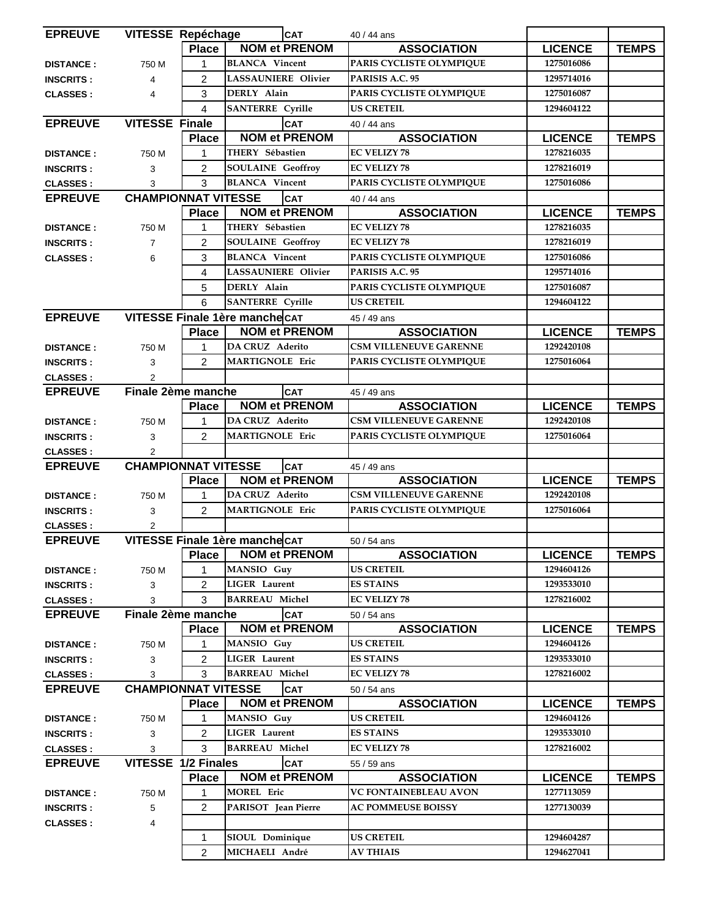| <b>EPREUVE</b>   |                                | <b>VITESSE Repéchage</b> |                            | <b>CAT</b>           | 40 / 44 ans                   |                |              |
|------------------|--------------------------------|--------------------------|----------------------------|----------------------|-------------------------------|----------------|--------------|
|                  |                                | <b>Place</b>             |                            | <b>NOM et PRENOM</b> | <b>ASSOCIATION</b>            | <b>LICENCE</b> | <b>TEMPS</b> |
| <b>DISTANCE:</b> | 750 M                          | 1                        | <b>BLANCA</b> Vincent      |                      | PARIS CYCLISTE OLYMPIQUE      | 1275016086     |              |
| <b>INSCRITS:</b> | 4                              | $\overline{2}$           | <b>LASSAUNIERE Olivier</b> |                      | PARISIS A.C. 95               | 1295714016     |              |
| <b>CLASSES:</b>  | $\overline{4}$                 | 3                        | DERLY Alain                |                      | PARIS CYCLISTE OLYMPIQUE      | 1275016087     |              |
|                  |                                | 4                        | <b>SANTERRE</b> Cyrille    |                      | <b>US CRETEIL</b>             | 1294604122     |              |
| <b>EPREUVE</b>   | <b>VITESSE Finale</b>          |                          | <b>CAT</b>                 |                      | 40 / 44 ans                   |                |              |
|                  |                                | <b>Place</b>             |                            | <b>NOM et PRENOM</b> | <b>ASSOCIATION</b>            | <b>LICENCE</b> | <b>TEMPS</b> |
| <b>DISTANCE:</b> | 750 M                          | 1                        | THERY Sébastien            |                      | <b>EC VELIZY 78</b>           | 1278216035     |              |
| <b>INSCRITS:</b> | 3                              | $\overline{2}$           | <b>SOULAINE</b> Geoffroy   |                      | <b>EC VELIZY 78</b>           | 1278216019     |              |
| <b>CLASSES:</b>  | 3                              | 3                        | <b>BLANCA</b> Vincent      |                      | PARIS CYCLISTE OLYMPIQUE      | 1275016086     |              |
| <b>EPREUVE</b>   | <b>CHAMPIONNAT VITESSE</b>     |                          |                            | <b>CAT</b>           | 40 / 44 ans                   |                |              |
|                  |                                | <b>Place</b>             |                            | <b>NOM et PRENOM</b> | <b>ASSOCIATION</b>            | <b>LICENCE</b> | <b>TEMPS</b> |
| <b>DISTANCE:</b> | 750 M                          | 1                        | THERY Sébastien            |                      | <b>EC VELIZY 78</b>           | 1278216035     |              |
| <b>INSCRITS:</b> | $\overline{7}$                 | 2                        | <b>SOULAINE</b> Geoffroy   |                      | <b>EC VELIZY 78</b>           | 1278216019     |              |
| <b>CLASSES:</b>  | 6                              | 3                        | <b>BLANCA</b> Vincent      |                      | PARIS CYCLISTE OLYMPIQUE      | 1275016086     |              |
|                  |                                | 4                        | <b>LASSAUNIERE Olivier</b> |                      | PARISIS A.C. 95               | 1295714016     |              |
|                  |                                | 5                        | DERLY Alain                |                      | PARIS CYCLISTE OLYMPIQUE      | 1275016087     |              |
|                  |                                | 6                        | <b>SANTERRE</b> Cyrille    |                      | <b>US CRETEIL</b>             | 1294604122     |              |
| <b>EPREUVE</b>   | VITESSE Finale 1ère manche CAT |                          |                            |                      | 45 / 49 ans                   |                |              |
|                  |                                | <b>Place</b>             |                            | <b>NOM et PRENOM</b> | <b>ASSOCIATION</b>            | <b>LICENCE</b> | <b>TEMPS</b> |
| <b>DISTANCE:</b> | 750 M                          | 1                        | DA CRUZ Aderito            |                      | <b>CSM VILLENEUVE GARENNE</b> | 1292420108     |              |
| <b>INSCRITS:</b> | 3                              | $\overline{2}$           | <b>MARTIGNOLE Eric</b>     |                      | PARIS CYCLISTE OLYMPIQUE      | 1275016064     |              |
| <b>CLASSES:</b>  | 2                              |                          |                            |                      |                               |                |              |
| <b>EPREUVE</b>   | Finale 2ème manche             |                          |                            | <b>CAT</b>           | 45 / 49 ans                   |                |              |
|                  |                                | <b>Place</b>             |                            | <b>NOM et PRENOM</b> | <b>ASSOCIATION</b>            | <b>LICENCE</b> | <b>TEMPS</b> |
| <b>DISTANCE:</b> | 750 M                          | $\mathbf{1}$             | <b>DA CRUZ Aderito</b>     |                      | <b>CSM VILLENEUVE GARENNE</b> | 1292420108     |              |
| <b>INSCRITS:</b> | 3                              | $\overline{2}$           | <b>MARTIGNOLE Eric</b>     |                      | PARIS CYCLISTE OLYMPIQUE      | 1275016064     |              |
| <b>CLASSES:</b>  | $\overline{2}$                 |                          |                            |                      |                               |                |              |
| <b>EPREUVE</b>   | <b>CHAMPIONNAT VITESSE</b>     |                          |                            | <b>CAT</b>           | 45 / 49 ans                   |                |              |
|                  |                                | <b>Place</b>             |                            | <b>NOM et PRENOM</b> | <b>ASSOCIATION</b>            | <b>LICENCE</b> | <b>TEMPS</b> |
| <b>DISTANCE:</b> | 750 M                          | 1                        | DA CRUZ Aderito            |                      | <b>CSM VILLENEUVE GARENNE</b> | 1292420108     |              |
| <b>INSCRITS:</b> | 3                              | $\overline{2}$           | <b>MARTIGNOLE Eric</b>     |                      | PARIS CYCLISTE OLYMPIQUE      | 1275016064     |              |
| <b>CLASSES:</b>  | $\overline{c}$                 |                          |                            |                      |                               |                |              |
| <b>EPREUVE</b>   | VITESSE Finale 1ère manche CAT |                          |                            |                      | 50 / 54 ans                   |                |              |
|                  |                                | <b>Place</b>             |                            | <b>NOM et PRENOM</b> | <b>ASSOCIATION</b>            | <b>LICENCE</b> | <b>TEMPS</b> |
| <b>DISTANCE:</b> | 750 M                          | 1                        | MANSIO Guy                 |                      | <b>US CRETEIL</b>             | 1294604126     |              |
| <b>INSCRITS:</b> | 3                              | $\overline{2}$           | <b>LIGER</b> Laurent       |                      | <b>ES STAINS</b>              | 1293533010     |              |
| <b>CLASSES:</b>  | 3                              | 3                        | <b>BARREAU Michel</b>      |                      | <b>EC VELIZY 78</b>           | 1278216002     |              |
| <b>EPREUVE</b>   | Finale 2ème manche             |                          |                            | <b>CAT</b>           | 50 / 54 ans                   |                |              |
|                  |                                | <b>Place</b>             |                            | <b>NOM et PRENOM</b> | <b>ASSOCIATION</b>            | <b>LICENCE</b> | <b>TEMPS</b> |
| <b>DISTANCE:</b> | 750 M                          | 1                        | MANSIO Guy                 |                      | <b>US CRETEIL</b>             | 1294604126     |              |
| <b>INSCRITS:</b> | 3                              | $\overline{2}$           | <b>LIGER</b> Laurent       |                      | <b>ES STAINS</b>              | 1293533010     |              |
| <b>CLASSES:</b>  | 3                              | 3                        | <b>BARREAU Michel</b>      |                      | <b>EC VELIZY 78</b>           | 1278216002     |              |
| <b>EPREUVE</b>   | <b>CHAMPIONNAT VITESSE</b>     |                          |                            | <b>CAT</b>           | 50 / 54 ans                   |                |              |
|                  |                                | <b>Place</b>             |                            | <b>NOM et PRENOM</b> | <b>ASSOCIATION</b>            | <b>LICENCE</b> | <b>TEMPS</b> |
| <b>DISTANCE:</b> | 750 M                          | 1                        | MANSIO Guy                 |                      | <b>US CRETEIL</b>             | 1294604126     |              |
| <b>INSCRITS:</b> | 3                              | $\overline{2}$           | <b>LIGER</b> Laurent       |                      | <b>ES STAINS</b>              | 1293533010     |              |
| <b>CLASSES:</b>  | 3                              | 3                        | <b>BARREAU Michel</b>      |                      | <b>EC VELIZY 78</b>           | 1278216002     |              |
| <b>EPREUVE</b>   | <b>VITESSE 1/2 Finales</b>     |                          |                            | <b>CAT</b>           | 55 / 59 ans                   |                |              |
|                  |                                | <b>Place</b>             |                            | <b>NOM et PRENOM</b> | <b>ASSOCIATION</b>            | <b>LICENCE</b> | <b>TEMPS</b> |
| <b>DISTANCE:</b> | 750 M                          | 1                        | <b>MOREL Eric</b>          |                      | VC FONTAINEBLEAU AVON         | 1277113059     |              |
| <b>INSCRITS:</b> | 5                              | $\overline{2}$           | PARISOT Jean Pierre        |                      | <b>AC POMMEUSE BOISSY</b>     | 1277130039     |              |
| <b>CLASSES:</b>  | 4                              |                          |                            |                      |                               |                |              |
|                  |                                | 1                        | SIOUL Dominique            |                      | <b>US CRETEIL</b>             | 1294604287     |              |
|                  |                                | $\overline{2}$           | MICHAELI André             |                      | <b>AV THIAIS</b>              | 1294627041     |              |
|                  |                                |                          |                            |                      |                               |                |              |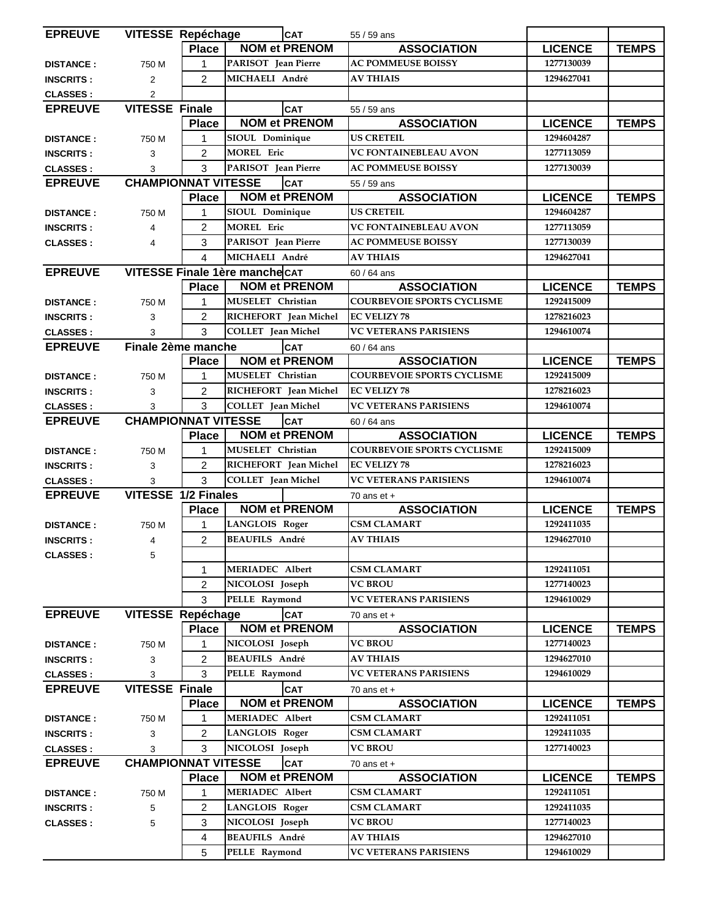| <b>EPREUVE</b>   |                                | <b>VITESSE Repéchage</b> |                           | <b>CAT</b>            | 55 / 59 ans                       |                |              |
|------------------|--------------------------------|--------------------------|---------------------------|-----------------------|-----------------------------------|----------------|--------------|
|                  |                                | <b>Place</b>             |                           | <b>NOM et PRENOM</b>  | <b>ASSOCIATION</b>                | <b>LICENCE</b> | <b>TEMPS</b> |
| <b>DISTANCE:</b> | 750 M                          | 1                        | PARISOT Jean Pierre       |                       | <b>AC POMMEUSE BOISSY</b>         | 1277130039     |              |
| <b>INSCRITS:</b> | $\overline{2}$                 | $\overline{2}$           | MICHAELI André            |                       | <b>AV THIAIS</b>                  | 1294627041     |              |
| <b>CLASSES:</b>  | $\overline{2}$                 |                          |                           |                       |                                   |                |              |
| <b>EPREUVE</b>   | <b>VITESSE Finale</b>          |                          |                           | <b>CAT</b>            | 55 / 59 ans                       |                |              |
|                  |                                | <b>Place</b>             |                           | <b>NOM et PRENOM</b>  | <b>ASSOCIATION</b>                | <b>LICENCE</b> | <b>TEMPS</b> |
| <b>DISTANCE:</b> | 750 M                          | 1                        | SIOUL Dominique           |                       | <b>US CRETEIL</b>                 | 1294604287     |              |
| <b>INSCRITS:</b> | 3                              | $\overline{2}$           | <b>MOREL Eric</b>         |                       | VC FONTAINEBLEAU AVON             | 1277113059     |              |
| <b>CLASSES:</b>  | 3                              | 3                        | PARISOT Jean Pierre       |                       | <b>AC POMMEUSE BOISSY</b>         | 1277130039     |              |
| <b>EPREUVE</b>   | <b>CHAMPIONNAT VITESSE</b>     |                          |                           | <b>CAT</b>            | 55 / 59 ans                       |                |              |
|                  |                                | <b>Place</b>             |                           | <b>NOM et PRENOM</b>  | <b>ASSOCIATION</b>                | <b>LICENCE</b> | <b>TEMPS</b> |
| <b>DISTANCE:</b> | 750 M                          | $\mathbf{1}$             | SIOUL Dominique           |                       | <b>US CRETEIL</b>                 | 1294604287     |              |
| <b>INSCRITS:</b> | 4                              | $\overline{2}$           | <b>MOREL Eric</b>         |                       | VC FONTAINEBLEAU AVON             | 1277113059     |              |
| <b>CLASSES:</b>  | $\overline{4}$                 | 3                        | PARISOT Jean Pierre       |                       | <b>AC POMMEUSE BOISSY</b>         | 1277130039     |              |
|                  |                                | $\overline{4}$           | MICHAELI André            |                       | <b>AV THIAIS</b>                  | 1294627041     |              |
| <b>EPREUVE</b>   | VITESSE Finale 1ère manche CAT |                          |                           |                       | $60/64$ ans                       |                |              |
|                  |                                | <b>Place</b>             |                           | <b>NOM et PRENOM</b>  | <b>ASSOCIATION</b>                | <b>LICENCE</b> | <b>TEMPS</b> |
| <b>DISTANCE:</b> | 750 M                          | 1                        | MUSELET Christian         |                       | <b>COURBEVOIE SPORTS CYCLISME</b> | 1292415009     |              |
| <b>INSCRITS:</b> | 3                              | $\overline{2}$           |                           | RICHEFORT Jean Michel | <b>EC VELIZY 78</b>               | 1278216023     |              |
| <b>CLASSES:</b>  | 3                              | 3                        | <b>COLLET</b> Jean Michel |                       | <b>VC VETERANS PARISIENS</b>      | 1294610074     |              |
| <b>EPREUVE</b>   | Finale 2ème manche             |                          |                           | CAT                   | $60/64$ ans                       |                |              |
|                  |                                | <b>Place</b>             |                           | <b>NOM et PRENOM</b>  | <b>ASSOCIATION</b>                | <b>LICENCE</b> | <b>TEMPS</b> |
| <b>DISTANCE:</b> | 750 M                          | $\mathbf{1}$             | MUSELET Christian         |                       | <b>COURBEVOIE SPORTS CYCLISME</b> | 1292415009     |              |
| <b>INSCRITS:</b> | 3                              | $\overline{c}$           |                           | RICHEFORT Jean Michel | <b>EC VELIZY 78</b>               | 1278216023     |              |
| <b>CLASSES:</b>  | 3                              | 3                        | <b>COLLET</b> Jean Michel |                       | <b>VC VETERANS PARISIENS</b>      | 1294610074     |              |
| <b>EPREUVE</b>   | <b>CHAMPIONNAT VITESSE</b>     |                          |                           | CAT                   | $60/64$ ans                       |                |              |
|                  |                                | <b>Place</b>             |                           | <b>NOM et PRENOM</b>  | <b>ASSOCIATION</b>                | <b>LICENCE</b> | <b>TEMPS</b> |
| <b>DISTANCE:</b> | 750 M                          | 1                        | MUSELET Christian         |                       | <b>COURBEVOIE SPORTS CYCLISME</b> | 1292415009     |              |
| <b>INSCRITS:</b> | 3                              | $\overline{c}$           |                           | RICHEFORT Jean Michel | <b>EC VELIZY 78</b>               | 1278216023     |              |
| <b>CLASSES:</b>  | 3                              | 3                        | <b>COLLET</b> Jean Michel |                       | <b>VC VETERANS PARISIENS</b>      | 1294610074     |              |
| <b>EPREUVE</b>   | VITESSE 1/2 Finales            |                          |                           |                       | 70 ans $et +$                     |                |              |
|                  |                                | <b>Place</b>             |                           | <b>NOM et PRENOM</b>  | <b>ASSOCIATION</b>                | <b>LICENCE</b> | <b>TEMPS</b> |
| <b>DISTANCE:</b> | 750 M                          | $\mathbf{1}$             | <b>LANGLOIS Roger</b>     |                       | <b>CSM CLAMART</b>                | 1292411035     |              |
| <b>INSCRITS:</b> |                                | $\overline{2}$           | <b>BEAUFILS</b> André     |                       | <b>AV THIAIS</b>                  | 1294627010     |              |
| <b>CLASSES:</b>  | 5                              |                          |                           |                       |                                   |                |              |
|                  |                                | 1                        | <b>MERIADEC Albert</b>    |                       | <b>CSM CLAMART</b>                | 1292411051     |              |
|                  |                                | $\overline{2}$           | NICOLOSI Joseph           |                       | <b>VC BROU</b>                    | 1277140023     |              |
|                  |                                | 3                        | PELLE Raymond             |                       | <b>VC VETERANS PARISIENS</b>      | 1294610029     |              |
| <b>EPREUVE</b>   | <b>VITESSE Repéchage</b>       |                          |                           | <b>CAT</b>            | 70 ans $et +$                     |                |              |
|                  |                                | <b>Place</b>             |                           | <b>NOM et PRENOM</b>  | <b>ASSOCIATION</b>                | <b>LICENCE</b> | <b>TEMPS</b> |
| <b>DISTANCE:</b> | 750 M                          | 1                        | NICOLOSI Joseph           |                       | <b>VC BROU</b>                    | 1277140023     |              |
| <b>INSCRITS:</b> | 3                              | $\overline{2}$           | <b>BEAUFILS André</b>     |                       | <b>AV THIAIS</b>                  | 1294627010     |              |
| <b>CLASSES:</b>  | 3                              | 3                        | PELLE Raymond             |                       | <b>VC VETERANS PARISIENS</b>      | 1294610029     |              |
| <b>EPREUVE</b>   | <b>VITESSE Finale</b>          |                          |                           | <b>CAT</b>            | 70 ans $et +$                     |                |              |
|                  |                                | <b>Place</b>             |                           | <b>NOM et PRENOM</b>  | <b>ASSOCIATION</b>                | <b>LICENCE</b> | <b>TEMPS</b> |
| <b>DISTANCE:</b> | 750 M                          |                          | <b>MERIADEC Albert</b>    |                       | <b>CSM CLAMART</b>                | 1292411051     |              |
| <b>INSCRITS:</b> | 3                              | $\overline{2}$           | <b>LANGLOIS Roger</b>     |                       | <b>CSM CLAMART</b>                | 1292411035     |              |
| <b>CLASSES:</b>  | 3                              | 3                        | NICOLOSI Joseph           |                       | <b>VC BROU</b>                    | 1277140023     |              |
| <b>EPREUVE</b>   | <b>CHAMPIONNAT VITESSE</b>     |                          |                           | <b>CAT</b>            | 70 ans $et +$                     |                |              |
|                  |                                | <b>Place</b>             |                           | <b>NOM et PRENOM</b>  | <b>ASSOCIATION</b>                | <b>LICENCE</b> | <b>TEMPS</b> |
| <b>DISTANCE:</b> | 750 M                          | 1                        | <b>MERIADEC Albert</b>    |                       | <b>CSM CLAMART</b>                | 1292411051     |              |
| <b>INSCRITS:</b> | 5                              | 2                        | <b>LANGLOIS Roger</b>     |                       | <b>CSM CLAMART</b>                | 1292411035     |              |
| <b>CLASSES:</b>  | 5                              | 3                        | NICOLOSI Joseph           |                       | <b>VC BROU</b>                    | 1277140023     |              |
|                  |                                | 4                        | <b>BEAUFILS André</b>     |                       | <b>AV THIAIS</b>                  | 1294627010     |              |
|                  |                                | 5                        | PELLE Raymond             |                       | <b>VC VETERANS PARISIENS</b>      | 1294610029     |              |
|                  |                                |                          |                           |                       |                                   |                |              |